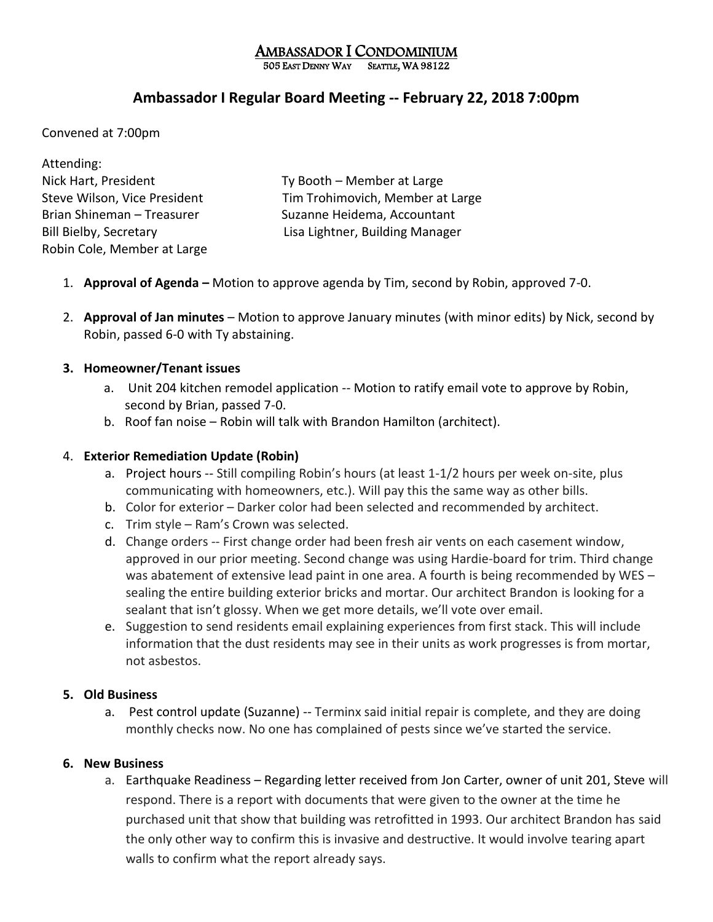# AMBASSADOR I CONDOMINIUM

505 EAST DENNY WAY SEATTLE, WA 98122

## **Ambassador I Regular Board Meeting -- February 22, 2018 7:00pm**

Convened at 7:00pm

| Attending:                    |                                  |
|-------------------------------|----------------------------------|
| Nick Hart, President          | Ty Booth – Member at Large       |
| Steve Wilson, Vice President  | Tim Trohimovich, Member at Large |
| Brian Shineman - Treasurer    | Suzanne Heidema, Accountant      |
| <b>Bill Bielby, Secretary</b> | Lisa Lightner, Building Manager  |
| Robin Cole, Member at Large   |                                  |

- 1. **Approval of Agenda –** Motion to approve agenda by Tim, second by Robin, approved 7-0.
- 2. **Approval of Jan minutes** Motion to approve January minutes (with minor edits) by Nick, second by Robin, passed 6-0 with Ty abstaining.

## **3. Homeowner/Tenant issues**

- a. Unit 204 kitchen remodel application -- Motion to ratify email vote to approve by Robin, second by Brian, passed 7-0.
- b. Roof fan noise Robin will talk with Brandon Hamilton (architect).

## 4. **Exterior Remediation Update (Robin)**

- a. Project hours -- Still compiling Robin's hours (at least 1-1/2 hours per week on-site, plus communicating with homeowners, etc.). Will pay this the same way as other bills.
- b. Color for exterior Darker color had been selected and recommended by architect.
- c. Trim style Ram's Crown was selected.
- d. Change orders -- First change order had been fresh air vents on each casement window, approved in our prior meeting. Second change was using Hardie-board for trim. Third change was abatement of extensive lead paint in one area. A fourth is being recommended by WES sealing the entire building exterior bricks and mortar. Our architect Brandon is looking for a sealant that isn't glossy. When we get more details, we'll vote over email.
- e. Suggestion to send residents email explaining experiences from first stack. This will include information that the dust residents may see in their units as work progresses is from mortar, not asbestos.

## **5. Old Business**

a. Pest control update (Suzanne) -- Terminx said initial repair is complete, and they are doing monthly checks now. No one has complained of pests since we've started the service.

## **6. New Business**

a. Earthquake Readiness – Regarding letter received from Jon Carter, owner of unit 201, Steve will respond. There is a report with documents that were given to the owner at the time he purchased unit that show that building was retrofitted in 1993. Our architect Brandon has said the only other way to confirm this is invasive and destructive. It would involve tearing apart walls to confirm what the report already says.